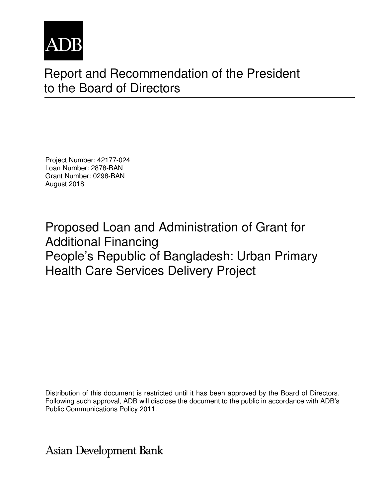

# Report and Recommendation of the President to the Board of Directors

Project Number: 42177-024 Loan Number: 2878-BAN Grant Number: 0298-BAN August 2018

Proposed Loan and Administration of Grant for Additional Financing People's Republic of Bangladesh: Urban Primary Health Care Services Delivery Project

Distribution of this document is restricted until it has been approved by the Board of Directors. Following such approval, ADB will disclose the document to the public in accordance with ADB's Public Communications Policy 2011.

**Asian Development Bank**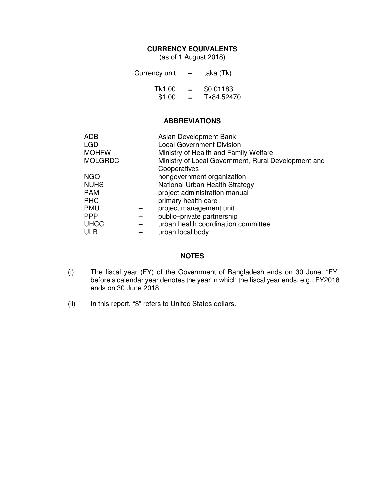# **CURRENCY EQUIVALENTS**

(as of 1 August 2018)

| Currency unit | $\overline{\phantom{0}}$ | taka (Tk)  |
|---------------|--------------------------|------------|
| Tk1.00        | $=$                      | \$0.01183  |
| \$1.00        | $=$                      | Tk84.52470 |

#### **ABBREVIATIONS**

| <b>ADB</b>     | Asian Development Bank                              |
|----------------|-----------------------------------------------------|
| <b>LGD</b>     | <b>Local Government Division</b>                    |
| <b>MOHFW</b>   | Ministry of Health and Family Welfare               |
| <b>MOLGRDC</b> | Ministry of Local Government, Rural Development and |
|                | Cooperatives                                        |
| <b>NGO</b>     | nongovernment organization                          |
| <b>NUHS</b>    | National Urban Health Strategy                      |
| <b>PAM</b>     | project administration manual                       |
| <b>PHC</b>     | primary health care                                 |
| <b>PMU</b>     | project management unit                             |
| <b>PPP</b>     | public-private partnership                          |
| <b>UHCC</b>    | urban health coordination committee                 |
| <b>ULB</b>     | urban local body                                    |

#### **NOTES**

- (i) The fiscal year (FY) of the Government of Bangladesh ends on 30 June. "FY" before a calendar year denotes the year in which the fiscal year ends, e.g., FY2018 ends on 30 June 2018.
- (ii) In this report, "\$" refers to United States dollars.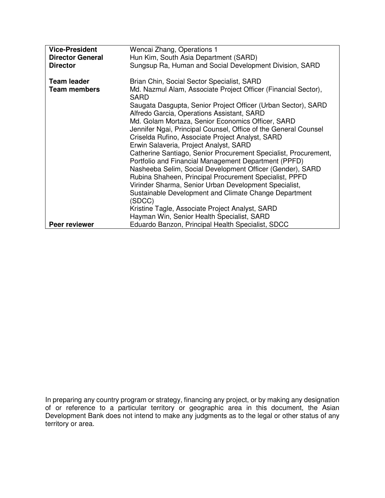| <b>Vice-President</b>   | Wencai Zhang, Operations 1                                                                                  |
|-------------------------|-------------------------------------------------------------------------------------------------------------|
| <b>Director General</b> | Hun Kim, South Asia Department (SARD)                                                                       |
| <b>Director</b>         | Sungsup Ra, Human and Social Development Division, SARD                                                     |
| <b>Team leader</b>      | Brian Chin, Social Sector Specialist, SARD                                                                  |
| <b>Team members</b>     | Md. Nazmul Alam, Associate Project Officer (Financial Sector),<br><b>SARD</b>                               |
|                         | Saugata Dasgupta, Senior Project Officer (Urban Sector), SARD<br>Alfredo Garcia, Operations Assistant, SARD |
|                         | Md. Golam Mortaza, Senior Economics Officer, SARD                                                           |
|                         | Jennifer Ngai, Principal Counsel, Office of the General Counsel                                             |
|                         | Criselda Rufino, Associate Project Analyst, SARD                                                            |
|                         | Erwin Salaveria, Project Analyst, SARD                                                                      |
|                         | Catherine Santiago, Senior Procurement Specialist, Procurement,                                             |
|                         | Portfolio and Financial Management Department (PPFD)                                                        |
|                         | Nasheeba Selim, Social Development Officer (Gender), SARD                                                   |
|                         | Rubina Shaheen, Principal Procurement Specialist, PPFD                                                      |
|                         | Virinder Sharma, Senior Urban Development Specialist,                                                       |
|                         | Sustainable Development and Climate Change Department                                                       |
|                         | (SDCC)                                                                                                      |
|                         | Kristine Tagle, Associate Project Analyst, SARD                                                             |
|                         | Hayman Win, Senior Health Specialist, SARD                                                                  |
| <b>Peer reviewer</b>    | Eduardo Banzon, Principal Health Specialist, SDCC                                                           |

In preparing any country program or strategy, financing any project, or by making any designation of or reference to a particular territory or geographic area in this document, the Asian Development Bank does not intend to make any judgments as to the legal or other status of any territory or area.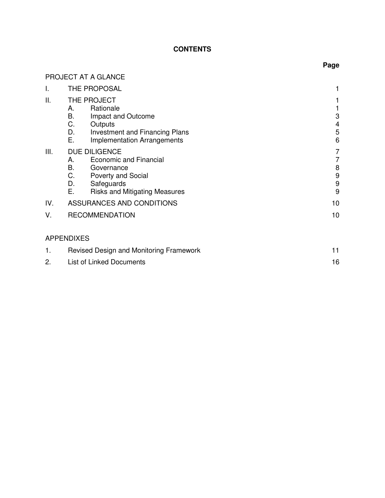# **CONTENTS**

|      | PROJECT AT A GLANCE                                                                                                                                                                  |                               |
|------|--------------------------------------------------------------------------------------------------------------------------------------------------------------------------------------|-------------------------------|
| Ι.   | THE PROPOSAL                                                                                                                                                                         |                               |
| Ш.   | THE PROJECT<br>Rationale<br>А.<br>В.<br>Impact and Outcome<br>С.<br>Outputs<br>D.<br>Investment and Financing Plans<br>Ε.<br><b>Implementation Arrangements</b>                      | 3<br>$\overline{4}$<br>5<br>6 |
| III. | <b>DUE DILIGENCE</b><br><b>Economic and Financial</b><br>А.<br>В.<br>Governance<br>C.<br><b>Poverty and Social</b><br>D.<br>Safeguards<br>Ε.<br><b>Risks and Mitigating Measures</b> | 7<br>7<br>8<br>9<br>9<br>9    |
| IV.  | ASSURANCES AND CONDITIONS                                                                                                                                                            | 10                            |
| V.   | <b>RECOMMENDATION</b>                                                                                                                                                                | 10                            |
|      | <b>APPENDIXES</b>                                                                                                                                                                    |                               |
| 1.   | Revised Design and Monitoring Framework                                                                                                                                              | 11                            |
| 2.   | <b>List of Linked Documents</b>                                                                                                                                                      | 16                            |

# **Page**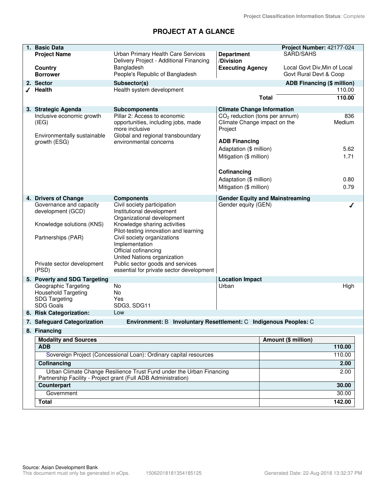# **PROJECT AT A GLANCE**

| 1. Basic Data                                   |                                                                                                                                        |                                         |                                        | Project Number: 42177-024         |
|-------------------------------------------------|----------------------------------------------------------------------------------------------------------------------------------------|-----------------------------------------|----------------------------------------|-----------------------------------|
| <b>Project Name</b>                             | Urban Primary Health Care Services<br>Delivery Project - Additional Financing                                                          | <b>Department</b><br>/Division          | SARD/SAHS                              |                                   |
| <b>Country</b>                                  | Bangladesh                                                                                                                             | <b>Executing Agency</b>                 |                                        | Local Govt Div, Min of Local      |
| <b>Borrower</b>                                 | People's Republic of Bangladesh                                                                                                        |                                         |                                        | Govt Rural Devt & Coop            |
| 2. Sector                                       | Subsector(s)                                                                                                                           |                                         |                                        | <b>ADB Financing (\$ million)</b> |
| √ Health                                        | Health system development                                                                                                              |                                         |                                        | 110.00                            |
|                                                 |                                                                                                                                        |                                         | <b>Total</b>                           | 110.00                            |
| 3. Strategic Agenda                             | <b>Subcomponents</b>                                                                                                                   | <b>Climate Change Information</b>       |                                        |                                   |
| Inclusive economic growth                       | Pillar 2: Access to economic                                                                                                           | $CO2$ reduction (tons per annum)        |                                        | 836                               |
| (IEG)                                           | opportunities, including jobs, made<br>more inclusive                                                                                  | Climate Change impact on the<br>Project |                                        | Medium                            |
| Environmentally sustainable<br>growth (ESG)     | Global and regional transboundary<br>environmental concerns                                                                            | <b>ADB Financing</b>                    |                                        |                                   |
|                                                 |                                                                                                                                        | Adaptation (\$ million)                 |                                        | 5.62                              |
|                                                 |                                                                                                                                        | Mitigation (\$ million)                 |                                        | 1.71                              |
|                                                 |                                                                                                                                        |                                         |                                        |                                   |
|                                                 |                                                                                                                                        | Cofinancing                             |                                        |                                   |
|                                                 |                                                                                                                                        | Adaptation (\$ million)                 |                                        | 0.80                              |
|                                                 |                                                                                                                                        | Mitigation (\$ million)                 |                                        | 0.79                              |
|                                                 |                                                                                                                                        |                                         |                                        |                                   |
| 4. Drivers of Change<br>Governance and capacity | <b>Components</b><br>Civil society participation                                                                                       | Gender equity (GEN)                     | <b>Gender Equity and Mainstreaming</b> | ℐ                                 |
| development (GCD)                               | Institutional development<br>Organizational development                                                                                |                                         |                                        |                                   |
| Knowledge solutions (KNS)                       | Knowledge sharing activities<br>Pilot-testing innovation and learning                                                                  |                                         |                                        |                                   |
| Partnerships (PAR)                              | Civil society organizations<br>Implementation<br>Official cofinancing                                                                  |                                         |                                        |                                   |
|                                                 | United Nations organization                                                                                                            |                                         |                                        |                                   |
| Private sector development<br>(PSD)             | Public sector goods and services<br>essential for private sector development                                                           |                                         |                                        |                                   |
| 5. Poverty and SDG Targeting                    |                                                                                                                                        | <b>Location Impact</b>                  |                                        |                                   |
| Geographic Targeting                            | No                                                                                                                                     | Urban                                   |                                        | High                              |
| <b>Household Targeting</b>                      | <b>No</b>                                                                                                                              |                                         |                                        |                                   |
| <b>SDG Targeting</b>                            | Yes                                                                                                                                    |                                         |                                        |                                   |
| <b>SDG Goals</b>                                | SDG3, SDG11                                                                                                                            |                                         |                                        |                                   |
| 6. Risk Categorization:                         | Low                                                                                                                                    |                                         |                                        |                                   |
| 7. Safeguard Categorization                     | Environment: B Involuntary Resettlement: C Indigenous Peoples: C                                                                       |                                         |                                        |                                   |
| 8. Financing                                    |                                                                                                                                        |                                         |                                        |                                   |
| <b>Modality and Sources</b>                     |                                                                                                                                        |                                         | Amount (\$ million)                    |                                   |
| <b>ADB</b>                                      |                                                                                                                                        |                                         |                                        | 110.00                            |
|                                                 | Sovereign Project (Concessional Loan): Ordinary capital resources                                                                      |                                         |                                        | 110.00                            |
| Cofinancing                                     |                                                                                                                                        |                                         |                                        | 2.00                              |
|                                                 | Urban Climate Change Resilience Trust Fund under the Urban Financing<br>Partnership Facility - Project grant (Full ADB Administration) |                                         |                                        | 2.00                              |
| Counterpart                                     |                                                                                                                                        |                                         |                                        | 30.00                             |
| Government                                      |                                                                                                                                        |                                         |                                        | 30.00                             |
| <b>Total</b>                                    |                                                                                                                                        |                                         |                                        | 142.00                            |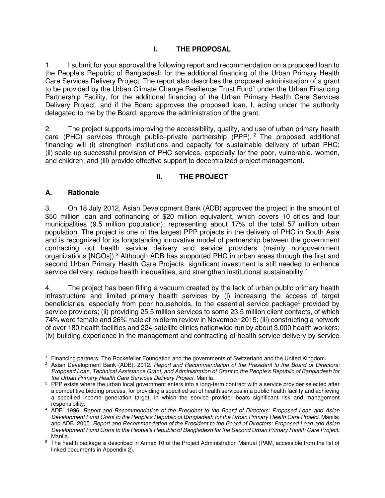# **I. THE PROPOSAL**

1. I submit for your approval the following report and recommendation on a proposed loan to the People's Republic of Bangladesh for the additional financing of the Urban Primary Health Care Services Delivery Project. The report also describes the proposed administration of a grant to be provided by the Urban Climate Change Resilience Trust Fund<sup>[1](#page-5-0)</sup> under the Urban Financing Partnership Facility, for the additional financing of the Urban Primary Health Care Services Delivery Project, and if the Board approves the proposed loan, I, acting under the authority delegated to me by the Board, approve the administration of the grant.

2. The project supports improving the accessibility, quality, and use of urban primary health care (PHC) services through public–private partnership (PPP). [2](#page-5-1) The proposed additional financing will (i) strengthen institutions and capacity for sustainable delivery of urban PHC; (ii) scale up successful provision of PHC services, especially for the poor, vulnerable, women, and children; and (iii) provide effective support to decentralized project management.

# **II. THE PROJECT**

## **A. Rationale**

3. On 18 July 2012, Asian Development Bank (ADB) approved the project in the amount of \$50 million loan and cofinancing of \$20 million equivalent, which covers 10 cities and four municipalities (9.5 million population), representing about 17% of the total 57 million urban population. The project is one of the largest PPP projects in the delivery of PHC in South Asia and is recognized for its longstanding innovative model of partnership between the government contracting out health service delivery and service providers (mainly nongovernment organizations [NGOs]).<sup>[3](#page-5-2)</sup> Although ADB has supported PHC in urban areas through the first and second Urban Primary Health Care Projects, significant investment is still needed to enhance service delivery, reduce health inequalities, and strengthen institutional sustainability.<sup>[4](#page-5-3)</sup>

4. The project has been filling a vacuum created by the lack of urban public primary health infrastructure and limited primary health services by (i) increasing the access of target beneficiaries, especially from poor households, to the essential service package<sup>[5](#page-5-4)</sup> provided by service providers; (ii) providing 25.5 million services to some 23.5 million client contacts, of which 74% were female and 26% male at midterm review in November 2015; (iii) constructing a network of over 180 health facilities and 224 satellite clinics nationwide run by about 3,000 health workers; (iv) building experience in the management and contracting of health service delivery by service

<sup>-</sup><sup>1</sup> Financing partners: The Rockefeller Foundation and the governments of Switzerland and the United Kingdom.

<span id="page-5-1"></span><span id="page-5-0"></span><sup>2</sup> Asian Development Bank (ADB). 2012. *Report and Recommendation of the President to the Board of Directors: Proposed Loan, Technical Assistance Grant, and Administration of Grant to the People's Republic of Bangladesh for the Urban Primary Health Care Services Delivery Project.* Manila.

<span id="page-5-2"></span><sup>&</sup>lt;sup>3</sup> PPP exists where the urban local government enters into a long-term contract with a service provider selected after a competitive bidding process, for providing a specified set of health services in a public health facility and achieving a specified income generation target, in which the service provider bears significant risk and management responsibility.

<span id="page-5-3"></span><sup>4</sup> ADB. 1996. *Report and Recommendation of the President to the Board of Directors: Proposed Loan and Asian Development Fund Grant to the People's Republic of Bangladesh for the Urban Primary Health Care Project*. Manila; and ADB. 2005. *Report and Recommendation of the President to the Board of Directors: Proposed Loan and Asian Development Fund Grant to the People's Republic of Bangladesh for the Second Urban Primary Health Care Project*. Manila.

<span id="page-5-4"></span><sup>5</sup> The health package is described in Annex 10 of the Project Administration Manual (PAM, accessible from the list of linked documents in Appendix 2).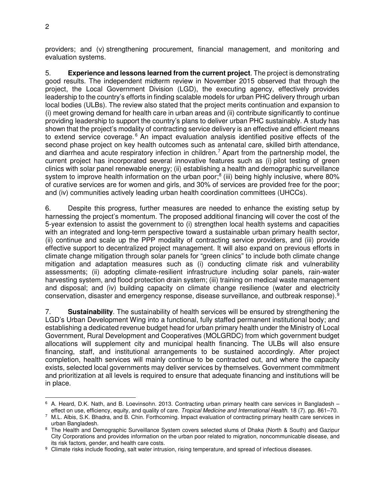providers; and (v) strengthening procurement, financial management, and monitoring and evaluation systems.

5. **Experience and lessons learned from the current project**. The project is demonstrating good results. The independent midterm review in November 2015 observed that through the project, the Local Government Division (LGD), the executing agency, effectively provides leadership to the country's efforts in finding scalable models for urban PHC delivery through urban local bodies (ULBs). The review also stated that the project merits continuation and expansion to (i) meet growing demand for health care in urban areas and (ii) contribute significantly to continue providing leadership to support the country's plans to deliver urban PHC sustainably. A study has shown that the project's modality of contracting service delivery is an effective and efficient means to extend service coverage.<sup>[6](#page-6-0)</sup> An impact evaluation analysis identified positive effects of the second phase project on key health outcomes such as antenatal care, skilled birth attendance, and diarrhea and acute respiratory infection in children. [7](#page-6-1) Apart from the partnership model, the current project has incorporated several innovative features such as (i) pilot testing of green clinics with solar panel renewable energy; (ii) establishing a health and demographic surveillance system to improve health information on the urban poor;<sup>[8](#page-6-2)</sup> (iii) being highly inclusive, where 80% of curative services are for women and girls, and 30% of services are provided free for the poor; and (iv) communities actively leading urban health coordination committees (UHCCs).

6. Despite this progress, further measures are needed to enhance the existing setup by harnessing the project's momentum. The proposed additional financing will cover the cost of the 5-year extension to assist the government to (i) strengthen local health systems and capacities with an integrated and long-term perspective toward a sustainable urban primary health sector, (ii) continue and scale up the PPP modality of contracting service providers, and (iii) provide effective support to decentralized project management. It will also expand on previous efforts in climate change mitigation through solar panels for "green clinics" to include both climate change mitigation and adaptation measures such as (i) conducting climate risk and vulnerability assessments; (ii) adopting climate-resilient infrastructure including solar panels, rain-water harvesting system, and flood protection drain system; (iii) training on medical waste management and disposal; and (iv) building capacity on climate change resilience (water and electricity conservation, disaster and emergency response, disease surveillance, and outbreak response). [9](#page-6-3)

7. **Sustainability**. The sustainability of health services will be ensured by strengthening the LGD's Urban Development Wing into a functional, fully staffed permanent institutional body; and establishing a dedicated revenue budget head for urban primary health under the Ministry of Local Government, Rural Development and Cooperatives (MOLGRDC) from which government budget allocations will supplement city and municipal health financing. The ULBs will also ensure financing, staff, and institutional arrangements to be sustained accordingly. After project completion, health services will mainly continue to be contracted out, and where the capacity exists, selected local governments may deliver services by themselves. Government commitment and prioritization at all levels is required to ensure that adequate financing and institutions will be in place.

<span id="page-6-0"></span><sup>-</sup>6 A. Heard, D.K. Nath, and B. Loevinsohn. 2013. Contracting urban primary health care services in Bangladesh – effect on use, efficiency, equity, and quality of care. *Tropical Medicine and International Health*. 18 (7). pp. 861–70.

<span id="page-6-1"></span><sup>7</sup> M.L. Albis, S.K. Bhadra, and B. Chin. Forthcoming. Impact evaluation of contracting primary health care services in urban Bangladesh.

<span id="page-6-2"></span><sup>&</sup>lt;sup>8</sup> The Health and Demographic Surveillance System covers selected slums of Dhaka (North & South) and Gazipur City Corporations and provides information on the urban poor related to migration, noncommunicable disease, and its risk factors, gender, and health care costs.

<span id="page-6-3"></span><sup>9</sup> Climate risks include flooding, salt water intrusion, rising temperature, and spread of infectious diseases.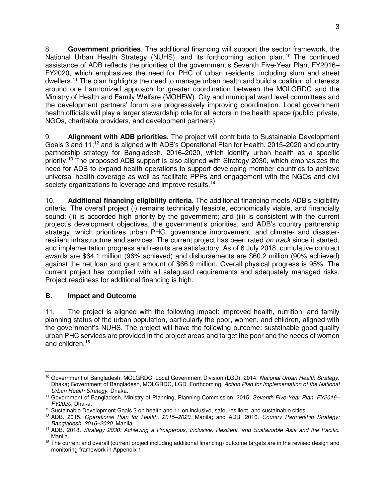8. **Government priorities**. The additional financing will support the sector framework, the National Urban Health Strategy (NUHS), and its forthcoming action plan.<sup>[10](#page-7-0)</sup> The continued assistance of ADB reflects the priorities of the government's Seventh Five-Year Plan, FY2016– FY2020, which emphasizes the need for PHC of urban residents, including slum and street dwellers.[11](#page-7-1) The plan highlights the need to manage urban health and build a coalition of interests around one harmonized approach for greater coordination between the MOLGRDC and the Ministry of Health and Family Welfare (MOHFW). City and municipal ward level committees and the development partners' forum are progressively improving coordination. Local government health officials will play a larger stewardship role for all actors in the health space (public, private, NGOs, charitable providers, and development partners).

9. **Alignment with ADB priorities**. The project will contribute to Sustainable Development Goals 3 and 11;<sup>[12](#page-7-2)</sup> and is aligned with ADB's Operational Plan for Health, 2015–2020 and country partnership strategy for Bangladesh, 2016–2020, which identify urban health as a specific priority.<sup>[13](#page-7-3)</sup> The proposed ADB support is also aligned with Strategy 2030, which emphasizes the need for ADB to expand health operations to support developing member countries to achieve universal health coverage as well as facilitate PPPs and engagement with the NGOs and civil society organizations to leverage and improve results.<sup>[14](#page-7-4)</sup>

10. **Additional financing eligibility criteria**. The additional financing meets ADB's eligibility criteria. The overall project (i) remains technically feasible, economically viable, and financially sound; (ii) is accorded high priority by the government; and (iii) is consistent with the current project's development objectives, the government's priorities, and ADB's country partnership strategy, which prioritizes urban PHC, governance improvement, and climate- and disasterresilient infrastructure and services. The current project has been rated *on track* since it started, and implementation progress and results are satisfactory. As of 6 July 2018, cumulative contract awards are \$64.1 million (96% achieved) and disbursements are \$60.2 million (90% achieved) against the net loan and grant amount of \$66.9 million. Overall physical progress is 95%. The current project has complied with all safeguard requirements and adequately managed risks. Project readiness for additional financing is high.

# **B. Impact and Outcome**

11. The project is aligned with the following impact: improved health, nutrition, and family planning status of the urban population, particularly the poor, women, and children, aligned with the government's NUHS. The project will have the following outcome: sustainable good quality urban PHC services are provided in the project areas and target the poor and the needs of women and children.[15](#page-7-5)

<span id="page-7-0"></span><sup>-</sup><sup>10</sup> Government of Bangladesh, MOLGRDC, Local Government Division (LGD). 2014. *National Urban Health Strategy*. Dhaka; Government of Bangladesh, MOLGRDC, LGD. Forthcoming. *Action Plan for Implementation of the National Urban Health Strategy*. Dhaka.

<span id="page-7-1"></span><sup>11</sup> Government of Bangladesh, Ministry of Planning, Planning Commission. 2015. *Seventh Five-Year Plan, FY2016– FY2020*. Dhaka.

<span id="page-7-2"></span><sup>&</sup>lt;sup>12</sup> Sustainable Development Goals 3 on health and 11 on inclusive, safe, resilient, and sustainable cities.

<span id="page-7-3"></span><sup>13</sup> ADB. 2015. *Operational Plan for Health, 2015–2020*. Manila; and ADB. 2016. *Country Partnership Strategy: Bangladesh, 2016–2020.* Manila.

<span id="page-7-4"></span><sup>14</sup> ADB. 2018. *Strategy 2030: Achieving a Prosperous, Inclusive, Resilient, and Sustainable Asia and the Pacific*. Manila.

<span id="page-7-5"></span><sup>&</sup>lt;sup>15</sup> The current and overall (current project including additional financing) outcome targets are in the revised design and monitoring framework in Appendix 1.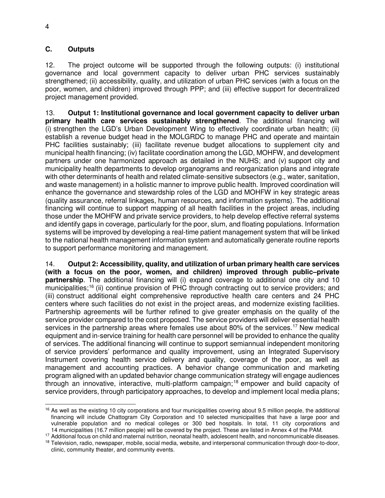$\overline{a}$ 

#### **C. Outputs**

12. The project outcome will be supported through the following outputs: (i) institutional governance and local government capacity to deliver urban PHC services sustainably strengthened; (ii) accessibility, quality, and utilization of urban PHC services (with a focus on the poor, women, and children) improved through PPP; and (iii) effective support for decentralized project management provided.

13. **Output 1: Institutional governance and local government capacity to deliver urban primary health care services sustainably strengthened**. The additional financing will (i) strengthen the LGD's Urban Development Wing to effectively coordinate urban health; (ii) establish a revenue budget head in the MOLGRDC to manage PHC and operate and maintain PHC facilities sustainably; (iii) facilitate revenue budget allocations to supplement city and municipal health financing; (iv) facilitate coordination among the LGD, MOHFW, and development partners under one harmonized approach as detailed in the NUHS; and (v) support city and municipality health departments to develop organograms and reorganization plans and integrate with other determinants of health and related climate-sensitive subsectors (e.g., water, sanitation, and waste management) in a holistic manner to improve public health. Improved coordination will enhance the governance and stewardship roles of the LGD and MOHFW in key strategic areas (quality assurance, referral linkages, human resources, and information systems). The additional financing will continue to support mapping of all health facilities in the project areas, including those under the MOHFW and private service providers, to help develop effective referral systems and identify gaps in coverage, particularly for the poor, slum, and floating populations. Information systems will be improved by developing a real-time patient management system that will be linked to the national health management information system and automatically generate routine reports to support performance monitoring and management.

14. **Output 2: Accessibility, quality, and utilization of urban primary health care services (with a focus on the poor, women, and children) improved through public–private partnership**. The additional financing will (i) expand coverage to additional one city and 10 municipalities;<sup>[16](#page-8-0)</sup> (ii) continue provision of PHC through contracting out to service providers; and (iii) construct additional eight comprehensive reproductive health care centers and 24 PHC centers where such facilities do not exist in the project areas, and modernize existing facilities. Partnership agreements will be further refined to give greater emphasis on the quality of the service provider compared to the cost proposed. The service providers will deliver essential health services in the partnership areas where females use about 80% of the services.<sup>[17](#page-8-1)</sup> New medical equipment and in-service training for health care personnel will be provided to enhance the quality of services. The additional financing will continue to support semiannual independent monitoring of service providers' performance and quality improvement, using an Integrated Supervisory Instrument covering health service delivery and quality, coverage of the poor, as well as management and accounting practices. A behavior change communication and marketing program aligned with an updated behavior change communication strategy will engage audiences through an innovative, interactive, multi-platform campaign; [18](#page-8-2) empower and build capacity of service providers, through participatory approaches, to develop and implement local media plans;

<span id="page-8-0"></span> $16$  As well as the existing 10 city corporations and four municipalities covering about 9.5 million people, the additional financing will include Chattogram City Corporation and 10 selected municipalities that have a large poor and vulnerable population and no medical colleges or 300 bed hospitals. In total, 11 city corporations and 14 municipalities (16.7 million people) will be covered by the project. These are listed in Annex 4 of the PAM.

<span id="page-8-1"></span><sup>17</sup> Additional focus on child and maternal nutrition, neonatal health, adolescent health, and noncommunicable diseases.

<span id="page-8-2"></span><sup>&</sup>lt;sup>18</sup> Television, radio, newspaper, mobile, social media, website, and interpersonal communication through door-to-door, clinic, community theater, and community events.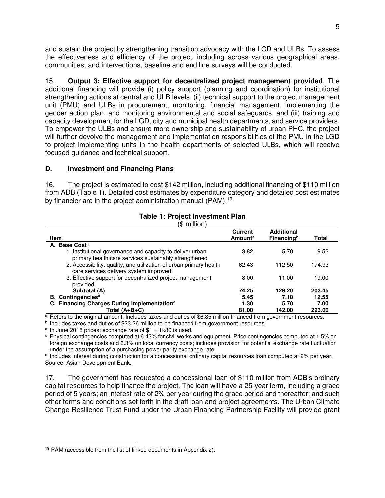and sustain the project by strengthening transition advocacy with the LGD and ULBs. To assess the effectiveness and efficiency of the project, including across various geographical areas, communities, and interventions, baseline and end line surveys will be conducted.

15. **Output 3: Effective support for decentralized project management provided**. The additional financing will provide (i) policy support (planning and coordination) for institutional strengthening actions at central and ULB levels; (ii) technical support to the project management unit (PMU) and ULBs in procurement, monitoring, financial management, implementing the gender action plan, and monitoring environmental and social safeguards; and (iii) training and capacity development for the LGD, city and municipal health departments, and service providers. To empower the ULBs and ensure more ownership and sustainability of urban PHC, the project will further devolve the management and implementation responsibilities of the PMU in the LGD to project implementing units in the health departments of selected ULBs, which will receive focused guidance and technical support.

#### **D. Investment and Financing Plans**

16. The project is estimated to cost \$142 million, including additional financing of \$110 million from ADB (Table 1). Detailed cost estimates by expenditure category and detailed cost estimates by financier are in the project administration manual (PAM).<sup>[19](#page-9-0)</sup>

| Item                                                                                                               | <b>Current</b><br><b>Amount</b> <sup>a</sup> | <b>Additional</b><br>Financing $b$ | <b>Total</b> |
|--------------------------------------------------------------------------------------------------------------------|----------------------------------------------|------------------------------------|--------------|
| A. Base Cost <sup>c</sup>                                                                                          |                                              |                                    |              |
| 1. Institutional governance and capacity to deliver urban<br>primary health care services sustainably strengthened | 3.82                                         | 5.70                               | 9.52         |
| 2. Accessibility, quality, and utilization of urban primary health<br>care services delivery system improved       | 62.43                                        | 112.50                             | 174.93       |
| 3. Effective support for decentralized project management<br>provided                                              | 8.00                                         | 11.00                              | 19.00        |
| Subtotal (A)                                                                                                       | 74.25                                        | 129.20                             | 203.45       |
| B. Contingencies <sup>d</sup>                                                                                      | 5.45                                         | 7.10                               | 12.55        |
| C. Financing Charges During Implementation <sup>e</sup>                                                            | 1.30                                         | 5.70                               | 7.00         |
| Total $(A+B+C)$                                                                                                    | 81.00                                        | 142.00                             | 223.00       |

#### **Table 1: Project Investment Plan**  $(4 \text{ million})$

 $\frac{a}{b}$  Refers to the original amount. Includes taxes and duties of \$6.85 million financed from government resources.

**b** Includes taxes and duties of \$23.26 million to be financed from government resources.

 $\textdegree$  In June 2018 prices; exchange rate of \$1 = Tk80 is used.

 $d$  Physical contingencies computed at 6.43% for civil works and equipment. Price contingencies computed at 1.5% on foreign exchange costs and 6.3% on local currency costs; includes provision for potential exchange rate fluctuation under the assumption of a purchasing power parity exchange rate.

e Includes interest during construction for a concessional ordinary capital resources loan computed at 2% per year. Source: Asian Development Bank.

17. The government has requested a concessional loan of \$110 million from ADB's ordinary capital resources to help finance the project. The loan will have a 25-year term, including a grace period of 5 years; an interest rate of 2% per year during the grace period and thereafter; and such other terms and conditions set forth in the draft loan and project agreements. The Urban Climate Change Resilience Trust Fund under the Urban Financing Partnership Facility will provide grant

<span id="page-9-0"></span> $\overline{a}$ <sup>19</sup> PAM (accessible from the list of linked documents in Appendix 2).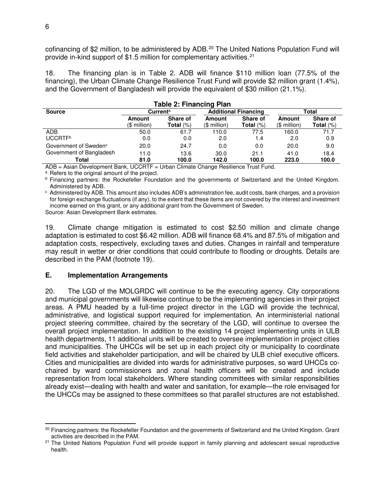cofinancing of \$2 million, to be administered by ADB.<sup>[20](#page-10-0)</sup> The United Nations Population Fund will provide in-kind support of \$1.5 million for complementary activities.<sup>[21](#page-10-1)</sup>

18. The financing plan is in Table 2. ADB will finance \$110 million loan (77.5% of the financing), the Urban Climate Change Resilience Trust Fund will provide \$2 million grant (1.4%), and the Government of Bangladesh will provide the equivalent of \$30 million (21.1%).

| Table 2: Financing Plan           |                      |              |                             |              |               |              |
|-----------------------------------|----------------------|--------------|-----------------------------|--------------|---------------|--------------|
| <b>Source</b>                     | Current <sup>a</sup> |              | <b>Additional Financing</b> |              | Total         |              |
|                                   | Amount               | Share of     | Amount                      | Share of     | <b>Amount</b> | Share of     |
|                                   | (\$ million)         | Total $(\%)$ | (\$ million)                | Total $(\%)$ | $$$ million)  | Total $(\%)$ |
| <b>ADB</b>                        | 50.0                 | 61.7         | 110.0                       | 77.5         | 160.0         | 71.7         |
| UCCRTF <sup>b</sup>               | 0.0                  | 0.0          | 2.0                         | 1.4          | 2.0           | 0.9          |
| Government of Sweden <sup>c</sup> | 20.0                 | 24.7         | 0.0                         | 0.0          | 20.0          | 9.0          |
| Government of Bangladesh          | 11.0                 | 13.6         | 30.0                        | 21.1         | 41.0          | 18.4         |
| Total                             | 81.0                 | 100.0        | 142.0                       | 100.0        | 223.0         | 100.0        |

**Table 2: Financing Plan**

ADB = Asian Development Bank, UCCRTF = Urban Climate Change Resilience Trust Fund.

<sup>a</sup> Refers to the original amount of the project.

<sup>b</sup> Financing partners: the Rockefeller Foundation and the governments of Switzerland and the United Kingdom. Administered by ADB.

<sup>c</sup> Administered by ADB. This amount also includes ADB's administration fee, audit costs, bank charges, and a provision for foreign exchange fluctuations (if any), to the extent that these items are not covered by the interest and investment income earned on this grant, or any additional grant from the Government of Sweden.

Source: Asian Development Bank estimates.

19. Climate change mitigation is estimated to cost \$2.50 million and climate change adaptation is estimated to cost \$6.42 million. ADB will finance 68.4% and 87.5% of mitigation and adaptation costs, respectively, excluding taxes and duties. Changes in rainfall and temperature may result in wetter or drier conditions that could contribute to flooding or droughts. Details are described in the PAM (footnote 19).

#### **E. Implementation Arrangements**

20. The LGD of the MOLGRDC will continue to be the executing agency. City corporations and municipal governments will likewise continue to be the implementing agencies in their project areas. A PMU headed by a full-time project director in the LGD will provide the technical, administrative, and logistical support required for implementation. An interministerial national project steering committee, chaired by the secretary of the LGD, will continue to oversee the overall project implementation. In addition to the existing 14 project implementing units in ULB health departments, 11 additional units will be created to oversee implementation in project cities and municipalities. The UHCCs will be set up in each project city or municipality to coordinate field activities and stakeholder participation, and will be chaired by ULB chief executive officers. Cities and municipalities are divided into wards for administrative purposes, so ward UHCCs cochaired by ward commissioners and zonal health officers will be created and include representation from local stakeholders. Where standing committees with similar responsibilities already exist—dealing with health and water and sanitation, for example—the role envisaged for the UHCCs may be assigned to these committees so that parallel structures are not established.

<span id="page-10-0"></span> $\overline{a}$ <sup>20</sup> Financing partners: the Rockefeller Foundation and the governments of Switzerland and the United Kingdom. Grant activities are described in the PAM.

<span id="page-10-1"></span><sup>&</sup>lt;sup>21</sup> The United Nations Population Fund will provide support in family planning and adolescent sexual reproductive health.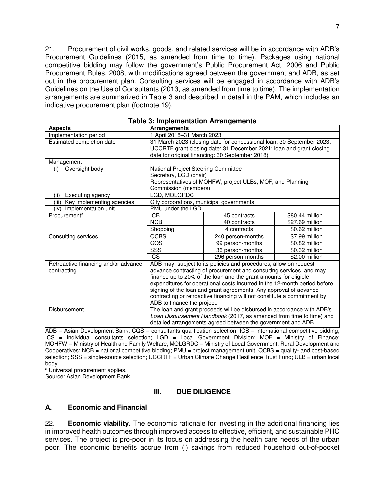21. Procurement of civil works, goods, and related services will be in accordance with ADB's Procurement Guidelines (2015, as amended from time to time). Packages using national competitive bidding may follow the government's Public Procurement Act, 2006 and Public Procurement Rules, 2008, with modifications agreed between the government and ADB, as set out in the procurement plan. Consulting services will be engaged in accordance with ADB's Guidelines on the Use of Consultants (2013, as amended from time to time). The implementation arrangements are summarized in Table 3 and described in detail in the PAM, which includes an indicative procurement plan (footnote 19).

| <b>Aspects</b>                       | <b>Arrangements</b>                                                       |                                                                        |                 |
|--------------------------------------|---------------------------------------------------------------------------|------------------------------------------------------------------------|-----------------|
| Implementation period                | 1 April 2018-31 March 2023                                                |                                                                        |                 |
| Estimated completion date            |                                                                           | 31 March 2023 (closing date for concessional loan: 30 September 2023;  |                 |
|                                      |                                                                           | UCCRTF grant closing date: 31 December 2021; loan and grant closing    |                 |
|                                      |                                                                           | date for original financing: 30 September 2018)                        |                 |
| Management                           |                                                                           |                                                                        |                 |
| Oversight body<br>(i)                | National Project Steering Committee                                       |                                                                        |                 |
|                                      | Secretary, LGD (chair)                                                    |                                                                        |                 |
|                                      |                                                                           | Representatives of MOHFW, project ULBs, MOF, and Planning              |                 |
|                                      | Commission (members)                                                      |                                                                        |                 |
| Executing agency<br>(ii)             | LGD, MOLGRDC                                                              |                                                                        |                 |
| Key implementing agencies<br>(iii)   | City corporations, municipal governments                                  |                                                                        |                 |
| (iv) Implementation unit             | PMU under the LGD                                                         |                                                                        |                 |
| Procurement <sup>a</sup>             | <b>ICB</b>                                                                | 45 contracts                                                           | \$80.44 million |
|                                      | <b>NCB</b>                                                                | 40 contracts                                                           | \$27.69 million |
|                                      | Shopping                                                                  | 4 contracts                                                            | \$0.62 million  |
| Consulting services                  | <b>QCBS</b>                                                               | 240 person-months                                                      | \$7.99 million  |
|                                      | CQS                                                                       | 99 person-months                                                       | \$0.82 million  |
|                                      | $\overline{\text{SSS}}$                                                   | 36 person-months                                                       | \$0.32 million  |
|                                      | $\overline{\text{ICS}}$                                                   | 296 person-months                                                      | \$2.00 million  |
| Retroactive financing and/or advance | ADB may, subject to its policies and procedures, allow on request         |                                                                        |                 |
| contracting                          | advance contracting of procurement and consulting services, and may       |                                                                        |                 |
|                                      | finance up to 20% of the loan and the grant amounts for eligible          |                                                                        |                 |
|                                      | expenditures for operational costs incurred in the 12-month period before |                                                                        |                 |
|                                      | signing of the loan and grant agreements. Any approval of advance         |                                                                        |                 |
|                                      | contracting or retroactive financing will not constitute a commitment by  |                                                                        |                 |
|                                      | ADB to finance the project.                                               |                                                                        |                 |
| Disbursement                         |                                                                           | The loan and grant proceeds will be disbursed in accordance with ADB's |                 |
|                                      | Loan Disbursement Handbook (2017, as amended from time to time) and       |                                                                        |                 |
|                                      | detailed arrangements agreed between the government and ADB.              |                                                                        |                 |

|  |  | <b>Table 3: Implementation Arrangements</b> |
|--|--|---------------------------------------------|
|--|--|---------------------------------------------|

 $\overline{ADB}$  = Asian Development Bank; CQS = consultants qualification selection; ICB = international competitive bidding; ICS = individual consultants selection; LGD = Local Government Division; MOF = Ministry of Finance; MOHFW = Ministry of Health and Family Welfare; MOLGRDC = Ministry of Local Government, Rural Development and Cooperatives; NCB = national competitive bidding; PMU = project management unit; QCBS = quality- and cost-based selection; SSS = single-source selection; UCCRTF = Urban Climate Change Resilience Trust Fund; ULB = urban local body.

<sup>a</sup> Universal procurement applies.

Source: Asian Development Bank.

#### **III. DUE DILIGENCE**

#### **A. Economic and Financial**

22. **Economic viability.** The economic rationale for investing in the additional financing lies in improved health outcomes through improved access to effective, efficient, and sustainable PHC services. The project is pro-poor in its focus on addressing the health care needs of the urban poor. The economic benefits accrue from (i) savings from reduced household out-of-pocket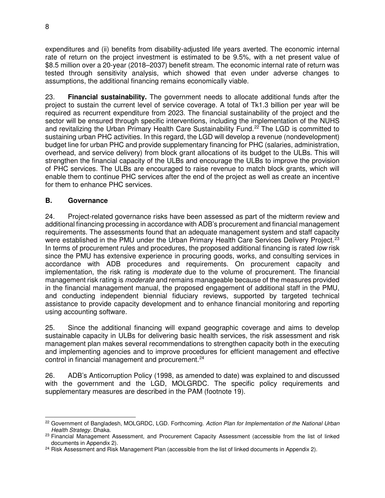expenditures and (ii) benefits from disability-adjusted life years averted. The economic internal rate of return on the project investment is estimated to be 9.5%, with a net present value of \$8.5 million over a 20-year (2018–2037) benefit stream. The economic internal rate of return was tested through sensitivity analysis, which showed that even under adverse changes to assumptions, the additional financing remains economically viable.

23. **Financial sustainability.** The government needs to allocate additional funds after the project to sustain the current level of service coverage. A total of Tk1.3 billion per year will be required as recurrent expenditure from 2023. The financial sustainability of the project and the sector will be ensured through specific interventions, including the implementation of the NUHS and revitalizing the Urban Primary Health Care Sustainability Fund.<sup>[22](#page-12-0)</sup> The LGD is committed to sustaining urban PHC activities. In this regard, the LGD will develop a revenue (nondevelopment) budget line for urban PHC and provide supplementary financing for PHC (salaries, administration, overhead, and service delivery) from block grant allocations of its budget to the ULBs. This will strengthen the financial capacity of the ULBs and encourage the ULBs to improve the provision of PHC services. The ULBs are encouraged to raise revenue to match block grants, which will enable them to continue PHC services after the end of the project as well as create an incentive for them to enhance PHC services.

# **B. Governance**

24. Project-related governance risks have been assessed as part of the midterm review and additional financing processing in accordance with ADB's procurement and financial management requirements. The assessments found that an adequate management system and staff capacity were established in the PMU under the Urban Primary Health Care Services Delivery Project.<sup>[23](#page-12-1)</sup> In terms of procurement rules and procedures, the proposed additional financing is rated *low* risk since the PMU has extensive experience in procuring goods, works, and consulting services in accordance with ADB procedures and requirements. On procurement capacity and implementation, the risk rating is *moderate* due to the volume of procurement. The financial management risk rating is *moderate* and remains manageable because of the measures provided in the financial management manual, the proposed engagement of additional staff in the PMU, and conducting independent biennial fiduciary reviews, supported by targeted technical assistance to provide capacity development and to enhance financial monitoring and reporting using accounting software.

25. Since the additional financing will expand geographic coverage and aims to develop sustainable capacity in ULBs for delivering basic health services, the risk assessment and risk management plan makes several recommendations to strengthen capacity both in the executing and implementing agencies and to improve procedures for efficient management and effective control in financial management and procurement. $24$ 

26. ADB's Anticorruption Policy (1998, as amended to date) was explained to and discussed with the government and the LGD, MOLGRDC. The specific policy requirements and supplementary measures are described in the PAM (footnote 19).

<span id="page-12-0"></span><sup>-</sup><sup>22</sup> Government of Bangladesh, MOLGRDC, LGD. Forthcoming. *Action Plan for Implementation of the National Urban Health Strategy*. Dhaka.

<span id="page-12-1"></span><sup>&</sup>lt;sup>23</sup> Financial Management Assessment, and Procurement Capacity Assessment (accessible from the list of linked documents in Appendix 2).

<span id="page-12-2"></span><sup>&</sup>lt;sup>24</sup> Risk Assessment and Risk Management Plan (accessible from the list of linked documents in Appendix 2).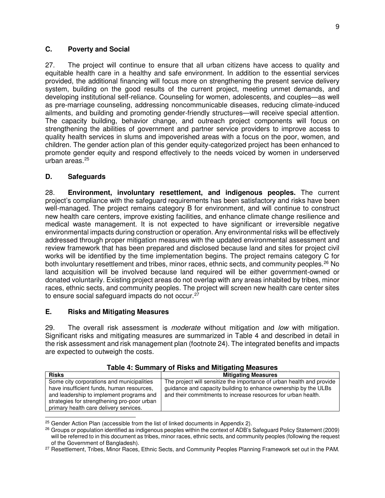#### **C. Poverty and Social**

27. The project will continue to ensure that all urban citizens have access to quality and equitable health care in a healthy and safe environment. In addition to the essential services provided, the additional financing will focus more on strengthening the present service delivery system, building on the good results of the current project, meeting unmet demands, and developing institutional self-reliance. Counseling for women, adolescents, and couples—as well as pre-marriage counseling, addressing noncommunicable diseases, reducing climate-induced ailments, and building and promoting gender-friendly structures—will receive special attention. The capacity building, behavior change, and outreach project components will focus on strengthening the abilities of government and partner service providers to improve access to quality health services in slums and impoverished areas with a focus on the poor, women, and children. The gender action plan of this gender equity-categorized project has been enhanced to promote gender equity and respond effectively to the needs voiced by women in underserved urban areas. [25](#page-13-0)

## **D. Safeguards**

28. **Environment, involuntary resettlement, and indigenous peoples.** The current project's compliance with the safeguard requirements has been satisfactory and risks have been well-managed. The project remains category B for environment, and will continue to construct new health care centers, improve existing facilities, and enhance climate change resilience and medical waste management. It is not expected to have significant or irreversible negative environmental impacts during construction or operation. Any environmental risks will be effectively addressed through proper mitigation measures with the updated environmental assessment and review framework that has been prepared and disclosed because land and sites for project civil works will be identified by the time implementation begins. The project remains category C for both involuntary resettlement and tribes, minor races, ethnic sects, and community peoples.<sup>[26](#page-13-1)</sup> No land acquisition will be involved because land required will be either government-owned or donated voluntarily. Existing project areas do not overlap with any areas inhabited by tribes, minor races, ethnic sects, and community peoples. The project will screen new health care center sites to ensure social safeguard impacts do not occur.<sup>[27](#page-13-2)</sup>

# **E. Risks and Mitigating Measures**

29. The overall risk assessment is *moderate* without mitigation and *low* with mitigation. Significant risks and mitigating measures are summarized in Table 4 and described in detail in the risk assessment and risk management plan (footnote 24). The integrated benefits and impacts are expected to outweigh the costs.

| <b>Risks</b>                                                                                                                                                                                                                | <b>Mitigating Measures</b>                                                                                                                                                                                |
|-----------------------------------------------------------------------------------------------------------------------------------------------------------------------------------------------------------------------------|-----------------------------------------------------------------------------------------------------------------------------------------------------------------------------------------------------------|
| Some city corporations and municipalities<br>have insufficient funds, human resources,<br>and leadership to implement programs and<br>strategies for strengthening pro-poor urban<br>primary health care delivery services. | The project will sensitize the importance of urban health and provide<br>guidance and capacity building to enhance ownership by the ULBs<br>and their commitments to increase resources for urban health. |

#### **Table 4: Summary of Risks and Mitigating Measures**

<span id="page-13-1"></span><span id="page-13-0"></span><sup>26</sup> Groups or population identified as indigenous peoples within the context of ADB's Safeguard Policy Statement (2009) will be referred to in this document as tribes, minor races, ethnic sects, and community peoples (following the request of the Government of Bangladesh).

<span id="page-13-2"></span><sup>27</sup> Resettlement, Tribes, Minor Races, Ethnic Sects, and Community Peoples Planning Framework set out in the PAM.

 $\overline{a}$  $25$  Gender Action Plan (accessible from the list of linked documents in Appendix 2).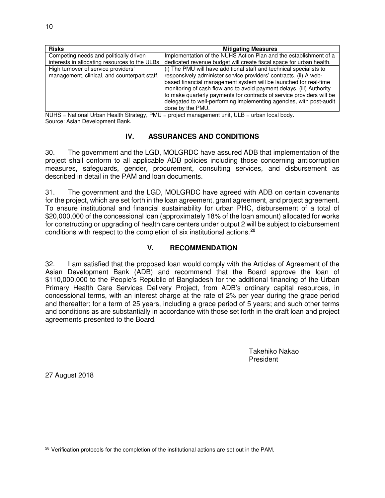| <b>Risks</b>                                   | <b>Mitigating Measures</b>                                            |
|------------------------------------------------|-----------------------------------------------------------------------|
| Competing needs and politically driven         | Implementation of the NUHS Action Plan and the establishment of a     |
| interests in allocating resources to the ULBs. | dedicated revenue budget will create fiscal space for urban health.   |
| High turnover of service providers'            | (i) The PMU will have additional staff and technical specialists to   |
| management, clinical, and counterpart staff.   | responsively administer service providers' contracts. (ii) A web-     |
|                                                | based financial management system will be launched for real-time      |
|                                                | monitoring of cash flow and to avoid payment delays. (iii) Authority  |
|                                                | to make quarterly payments for contracts of service providers will be |
|                                                | delegated to well-performing implementing agencies, with post-audit   |
|                                                | done by the PMU.                                                      |

 $NUHS = National Urban Health Strategy, PMU = project management unit, ULB = urban local body.$ Source: Asian Development Bank.

## **IV. ASSURANCES AND CONDITIONS**

30. The government and the LGD, MOLGRDC have assured ADB that implementation of the project shall conform to all applicable ADB policies including those concerning anticorruption measures, safeguards, gender, procurement, consulting services, and disbursement as described in detail in the PAM and loan documents.

31. The government and the LGD, MOLGRDC have agreed with ADB on certain covenants for the project, which are set forth in the loan agreement, grant agreement, and project agreement. To ensure institutional and financial sustainability for urban PHC, disbursement of a total of \$20,000,000 of the concessional loan (approximately 18% of the loan amount) allocated for works for constructing or upgrading of health care centers under output 2 will be subject to disbursement conditions with respect to the completion of six institutional actions. [28](#page-14-0)

# **V. RECOMMENDATION**

32. I am satisfied that the proposed loan would comply with the Articles of Agreement of the Asian Development Bank (ADB) and recommend that the Board approve the loan of \$110,000,000 to the People's Republic of Bangladesh for the additional financing of the Urban Primary Health Care Services Delivery Project, from ADB's ordinary capital resources, in concessional terms, with an interest charge at the rate of 2% per year during the grace period and thereafter; for a term of 25 years, including a grace period of 5 years; and such other terms and conditions as are substantially in accordance with those set forth in the draft loan and project agreements presented to the Board.

> Takehiko Nakao President

27 August 2018

<span id="page-14-0"></span><sup>-</sup><sup>28</sup> Verification protocols for the completion of the institutional actions are set out in the PAM.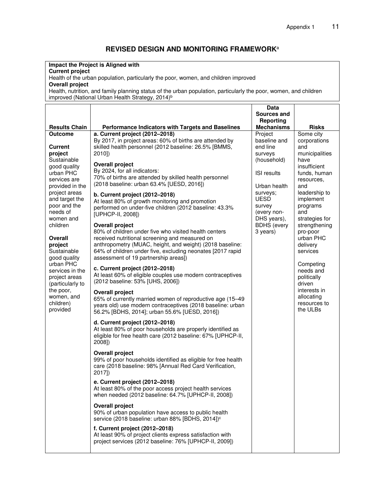# **REVISED DESIGN AND MONITORING FRAMEWORK**<sup>a</sup>

#### **Impact the Project is Aligned with**

#### **Current project**

Health of the urban population, particularly the poor, women, and children improved **Overall project**

Health, nutrition, and family planning status of the urban population, particularly the poor, women, and children improved (National Urban Health Strategy, 2014)<sup>b</sup>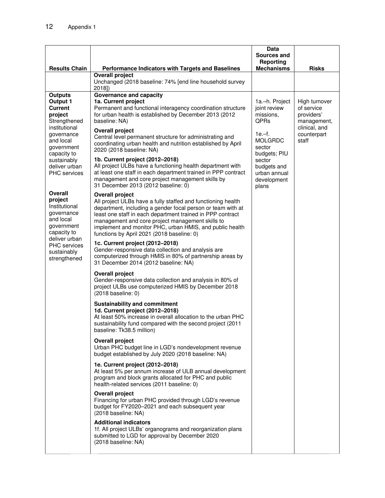|                                                                                                                                                                                                         |                                                                                                                                                                                                                                                                                                                                                                                                                                                                                                                                                                                                                                                 | Data<br>Sources and<br>Reporting                                                                                                                                      |                                                                                                   |
|---------------------------------------------------------------------------------------------------------------------------------------------------------------------------------------------------------|-------------------------------------------------------------------------------------------------------------------------------------------------------------------------------------------------------------------------------------------------------------------------------------------------------------------------------------------------------------------------------------------------------------------------------------------------------------------------------------------------------------------------------------------------------------------------------------------------------------------------------------------------|-----------------------------------------------------------------------------------------------------------------------------------------------------------------------|---------------------------------------------------------------------------------------------------|
| <b>Results Chain</b>                                                                                                                                                                                    | Performance Indicators with Targets and Baselines                                                                                                                                                                                                                                                                                                                                                                                                                                                                                                                                                                                               |                                                                                                                                                                       | <b>Risks</b>                                                                                      |
|                                                                                                                                                                                                         | <b>Overall project</b><br>Unchanged (2018 baseline: 74% [end line household survey<br>2018])                                                                                                                                                                                                                                                                                                                                                                                                                                                                                                                                                    |                                                                                                                                                                       |                                                                                                   |
| <b>Outputs</b><br>Output 1<br><b>Current</b><br>project<br>Strengthened<br>institutional<br>governance<br>and local<br>government<br>capacity to<br>sustainably<br>deliver urban<br><b>PHC</b> services | <b>Governance and capacity</b><br>1a. Current project<br>Permanent and functional interagency coordination structure<br>for urban health is established by December 2013 (2012)<br>baseline: NA)<br><b>Overall project</b><br>Central level permanent structure for administrating and<br>coordinating urban health and nutrition established by April<br>2020 (2018 baseline: NA)<br>1b. Current project (2012-2018)<br>All project ULBs have a functioning health department with<br>at least one staff in each department trained in PPP contract<br>management and core project management skills by<br>31 December 2013 (2012 baseline: 0) | 1a.-h. Project<br>joint review<br>missions,<br>QPRs<br>$1e - f$ .<br><b>MOLGRDC</b><br>sector<br>budgets; PIU<br>sector<br>budgets and<br>urban annual<br>development | High turnover<br>of service<br>providers'<br>management,<br>clinical, and<br>counterpart<br>staff |
| Overall<br>project<br>Institutional<br>governance<br>and local<br>government<br>capacity to<br>deliver urban<br>PHC services<br>sustainably<br>strengthened                                             | <b>Overall project</b><br>All project ULBs have a fully staffed and functioning health<br>department, including a gender focal person or team with at<br>least one staff in each department trained in PPP contract<br>management and core project management skills to<br>implement and monitor PHC, urban HMIS, and public health<br>functions by April 2021 (2018 baseline: 0)<br>1c. Current project (2012-2018)<br>Gender-responsive data collection and analysis are<br>computerized through HMIS in 80% of partnership areas by<br>31 December 2014 (2012 baseline: NA)                                                                  | plans                                                                                                                                                                 |                                                                                                   |
|                                                                                                                                                                                                         | <b>Overall project</b><br>Gender-responsive data collection and analysis in 80% of<br>project ULBs use computerized HMIS by December 2018<br>(2018 baseline: 0)                                                                                                                                                                                                                                                                                                                                                                                                                                                                                 |                                                                                                                                                                       |                                                                                                   |
|                                                                                                                                                                                                         | <b>Sustainability and commitment</b><br>1d. Current project (2012-2018)<br>At least 50% increase in overall allocation to the urban PHC<br>sustainability fund compared with the second project (2011<br>baseline: Tk38.5 million)                                                                                                                                                                                                                                                                                                                                                                                                              |                                                                                                                                                                       |                                                                                                   |
|                                                                                                                                                                                                         | <b>Overall project</b><br>Urban PHC budget line in LGD's nondevelopment revenue<br>budget established by July 2020 (2018 baseline: NA)                                                                                                                                                                                                                                                                                                                                                                                                                                                                                                          |                                                                                                                                                                       |                                                                                                   |
|                                                                                                                                                                                                         | 1e. Current project (2012-2018)<br>At least 5% per annum increase of ULB annual development<br>program and block grants allocated for PHC and public<br>health-related services (2011 baseline: 0)                                                                                                                                                                                                                                                                                                                                                                                                                                              |                                                                                                                                                                       |                                                                                                   |
|                                                                                                                                                                                                         | <b>Overall project</b><br>Financing for urban PHC provided through LGD's revenue<br>budget for FY2020-2021 and each subsequent year<br>(2018 baseline: NA)                                                                                                                                                                                                                                                                                                                                                                                                                                                                                      |                                                                                                                                                                       |                                                                                                   |
|                                                                                                                                                                                                         | <b>Additional indicators</b><br>1f. All project ULBs' organograms and reorganization plans<br>submitted to LGD for approval by December 2020<br>(2018 baseline: NA)                                                                                                                                                                                                                                                                                                                                                                                                                                                                             |                                                                                                                                                                       |                                                                                                   |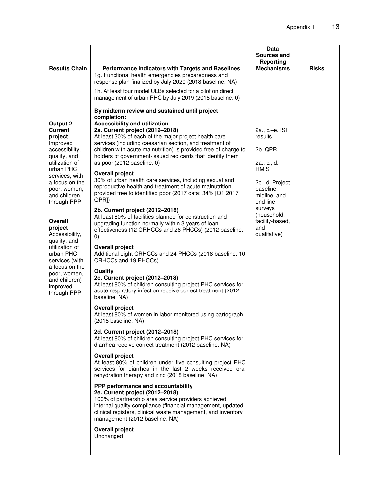|                                                                                  |                                                                                                                                                                                                                                                                                              | Data                                                             |              |
|----------------------------------------------------------------------------------|----------------------------------------------------------------------------------------------------------------------------------------------------------------------------------------------------------------------------------------------------------------------------------------------|------------------------------------------------------------------|--------------|
|                                                                                  |                                                                                                                                                                                                                                                                                              | Sources and                                                      |              |
|                                                                                  |                                                                                                                                                                                                                                                                                              | Reporting                                                        |              |
| <b>Results Chain</b>                                                             | Performance Indicators with Targets and Baselines<br>1g. Functional health emergencies preparedness and                                                                                                                                                                                      | <b>Mechanisms</b>                                                | <b>Risks</b> |
|                                                                                  | response plan finalized by July 2020 (2018 baseline: NA)                                                                                                                                                                                                                                     |                                                                  |              |
|                                                                                  | 1h. At least four model ULBs selected for a pilot on direct<br>management of urban PHC by July 2019 (2018 baseline: 0)                                                                                                                                                                       |                                                                  |              |
| Output 2<br><b>Current</b><br>project                                            | By midterm review and sustained until project<br>completion:<br><b>Accessibility and utilization</b><br>2a. Current project (2012-2018)<br>At least 30% of each of the major project health care                                                                                             | 2a., c.-e. ISI<br>results                                        |              |
| Improved<br>accessibility,<br>quality, and                                       | services (including caesarian section, and treatment of<br>children with acute malnutrition) is provided free of charge to<br>holders of government-issued red cards that identify them                                                                                                      | 2b. QPR                                                          |              |
| utilization of<br>urban PHC                                                      | as poor (2012 baseline: 0)<br><b>Overall project</b>                                                                                                                                                                                                                                         | 2a., c., d.<br>HMIS                                              |              |
| services, with<br>a focus on the<br>poor, women,<br>and children,<br>through PPP | 30% of urban health care services, including sexual and<br>reproductive health and treatment of acute malnutrition,<br>provided free to identified poor (2017 data: 34% [Q1 2017<br>QPR <sub>I</sub>                                                                                         | 2c., d. Project<br>baseline,<br>midline, and<br>end line         |              |
| Overall<br>project<br>Accessibility,<br>quality, and                             | 2b. Current project (2012-2018)<br>At least 80% of facilities planned for construction and<br>upgrading function normally within 3 years of loan<br>effectiveness (12 CRHCCs and 26 PHCCs) (2012 baseline:<br>$\left( 0\right)$                                                              | surveys<br>(household,<br>facility-based,<br>and<br>qualitative) |              |
| utilization of<br>urban PHC<br>services (with                                    | <b>Overall project</b><br>Additional eight CRHCCs and 24 PHCCs (2018 baseline: 10<br>CRHCCs and 19 PHCCs)                                                                                                                                                                                    |                                                                  |              |
| a focus on the<br>poor, women,<br>and children)<br>improved<br>through PPP       | Quality<br>2c. Current project (2012-2018)<br>At least 80% of children consulting project PHC services for<br>acute respiratory infection receive correct treatment (2012<br>baseline: NA)                                                                                                   |                                                                  |              |
|                                                                                  | <b>Overall project</b><br>At least 80% of women in labor monitored using partograph<br>(2018 baseline: NA)                                                                                                                                                                                   |                                                                  |              |
|                                                                                  | 2d. Current project (2012-2018)<br>At least 80% of children consulting project PHC services for<br>diarrhea receive correct treatment (2012 baseline: NA)                                                                                                                                    |                                                                  |              |
|                                                                                  | <b>Overall project</b><br>At least 80% of children under five consulting project PHC<br>services for diarrhea in the last 2 weeks received oral<br>rehydration therapy and zinc (2018 baseline: NA)                                                                                          |                                                                  |              |
|                                                                                  | PPP performance and accountability<br>2e. Current project (2012-2018)<br>100% of partnership area service providers achieved<br>internal quality compliance (financial management, updated<br>clinical registers, clinical waste management, and inventory<br>management (2012 baseline: NA) |                                                                  |              |
|                                                                                  | <b>Overall project</b><br>Unchanged                                                                                                                                                                                                                                                          |                                                                  |              |
|                                                                                  |                                                                                                                                                                                                                                                                                              |                                                                  |              |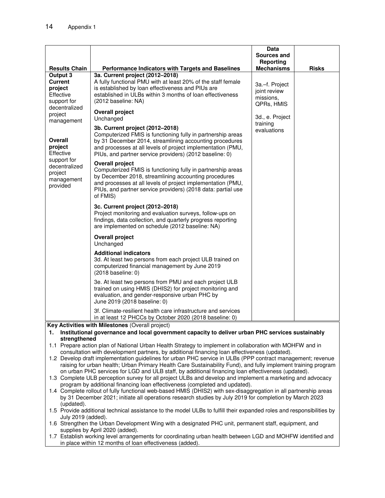|                                                                                                                                                            |                                                                                                                                                                                                                                                                                          | Data<br>Sources and<br>Reporting                          |              |
|------------------------------------------------------------------------------------------------------------------------------------------------------------|------------------------------------------------------------------------------------------------------------------------------------------------------------------------------------------------------------------------------------------------------------------------------------------|-----------------------------------------------------------|--------------|
| <b>Results Chain</b>                                                                                                                                       | <b>Performance Indicators with Targets and Baselines</b>                                                                                                                                                                                                                                 | <b>Mechanisms</b>                                         | <b>Risks</b> |
| Output 3<br><b>Current</b><br>project<br>Effective<br>support for                                                                                          | 3a. Current project (2012-2018)<br>A fully functional PMU with at least 20% of the staff female<br>is established by loan effectiveness and PIUs are<br>established in ULBs within 3 months of loan effectiveness<br>(2012 baseline: NA)                                                 | 3a.-f. Project<br>joint review<br>missions,<br>QPRs, HMIS |              |
| decentralized<br>project<br>management                                                                                                                     | <b>Overall project</b><br>Unchanged                                                                                                                                                                                                                                                      | 3d., e. Project<br>training                               |              |
| <b>Overall</b><br>project<br>Effective                                                                                                                     | 3b. Current project (2012-2018)<br>Computerized FMIS is functioning fully in partnership areas<br>by 31 December 2014, streamlining accounting procedures<br>and processes at all levels of project implementation (PMU,<br>PIUs, and partner service providers) (2012 baseline: 0)      | evaluations                                               |              |
| support for<br>decentralized<br>project<br>management<br>provided                                                                                          | <b>Overall project</b><br>Computerized FMIS is functioning fully in partnership areas<br>by December 2018, streamlining accounting procedures<br>and processes at all levels of project implementation (PMU,<br>PIUs, and partner service providers) (2018 data: partial use<br>of FMIS) |                                                           |              |
|                                                                                                                                                            | 3c. Current project (2012-2018)<br>Project monitoring and evaluation surveys, follow-ups on<br>findings, data collection, and quarterly progress reporting<br>are implemented on schedule (2012 baseline: NA)                                                                            |                                                           |              |
|                                                                                                                                                            | <b>Overall project</b><br>Unchanged                                                                                                                                                                                                                                                      |                                                           |              |
|                                                                                                                                                            | <b>Additional indicators</b><br>3d. At least two persons from each project ULB trained on<br>computerized financial management by June 2019<br>(2018 baseline: 0)                                                                                                                        |                                                           |              |
|                                                                                                                                                            | 3e. At least two persons from PMU and each project ULB<br>trained on using HMIS (DHIS2) for project monitoring and<br>evaluation, and gender-responsive urban PHC by<br>June 2019 (2018 baseline: 0)                                                                                     |                                                           |              |
|                                                                                                                                                            | 3f. Climate-resilient health care infrastructure and services<br>in at least 12 PHCCs by October 2020 (2018 baseline: 0)                                                                                                                                                                 |                                                           |              |
| Key Activities with Milestones (Overall project)<br>Institutional governance and local government capacity to deliver urban PHC services sustainably<br>1. |                                                                                                                                                                                                                                                                                          |                                                           |              |

**strengthened**

- 1.1 Prepare action plan of National Urban Health Strategy to implement in collaboration with MOHFW and in consultation with development partners, by additional financing loan effectiveness (updated).
- 1.2 Develop draft implementation guidelines for urban PHC service in ULBs (PPP contract management; revenue raising for urban health; Urban Primary Health Care Sustainability Fund), and fully implement training program on urban PHC services for LGD and ULB staff, by additional financing loan effectiveness (updated).
- 1.3 Complete ULB perception survey for all project ULBs and develop and implement a marketing and advocacy program by additional financing loan effectiveness (completed and updated).
- 1.4 Complete rollout of fully functional web-based HMIS (DHIS2) with sex-disaggregation in all partnership areas by 31 December 2021; initiate all operations research studies by July 2019 for completion by March 2023 (updated).
- 1.5 Provide additional technical assistance to the model ULBs to fulfill their expanded roles and responsibilities by July 2019 (added).
- 1.6 Strengthen the Urban Development Wing with a designated PHC unit, permanent staff, equipment, and supplies by April 2020 (added).
- 1.7 Establish working level arrangements for coordinating urban health between LGD and MOHFW identified and in place within 12 months of loan effectiveness (added).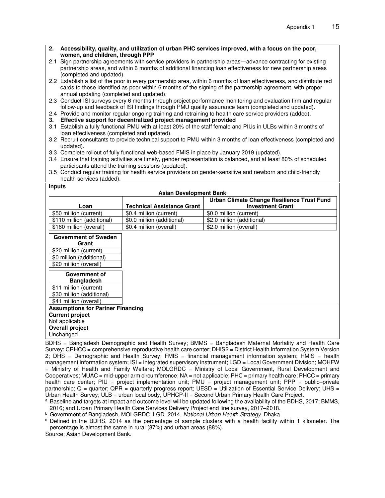| 2. Accessibility, quality, and utilization of urban PHC services improved, with a focus on the poor,           |
|----------------------------------------------------------------------------------------------------------------|
| women, and children, through PPP                                                                               |
| 0.1. Cian pertaerahin egreemente with een iee providere in pertaerahin erees - educase centrasting fer evistir |

- 2.1 Sign partnership agreements with service providers in partnership areas—advance contracting for existing partnership areas, and within 6 months of additional financing loan effectiveness for new partnership areas (completed and updated).
- 2.2 Establish a list of the poor in every partnership area, within 6 months of loan effectiveness, and distribute red cards to those identified as poor within 6 months of the signing of the partnership agreement, with proper annual updating (completed and updated).
- 2.3 Conduct ISI surveys every 6 months through project performance monitoring and evaluation firm and regular follow-up and feedback of ISI findings through PMU quality assurance team (completed and updated).
- 2.4 Provide and monitor regular ongoing training and retraining to health care service providers (added).
- **3. Effective support for decentralized project management provided**
- 3.1 Establish a fully functional PMU with at least 20% of the staff female and PIUs in ULBs within 3 months of loan effectiveness (completed and updated).
- 3.2 Recruit consultants to provide technical support to PMU within 3 months of loan effectiveness (completed and updated).
- 3.3 Complete rollout of fully functional web-based FMIS in place by January 2019 (updated).
- 3.4 Ensure that training activities are timely, gender representation is balanced, and at least 80% of scheduled participants attend the training sessions (updated).
- 3.5 Conduct regular training for health service providers on gender-sensitive and newborn and child-friendly health services (added).

| ×<br>I |
|--------|
|--------|

| <br><b>Asian Development Bank</b>        |                                   |                                                                       |
|------------------------------------------|-----------------------------------|-----------------------------------------------------------------------|
| Loan                                     | <b>Technical Assistance Grant</b> | Urban Climate Change Resilience Trust Fund<br><b>Investment Grant</b> |
| \$50 million (current)                   | \$0.4 million (current)           | \$0.0 million (current)                                               |
| \$110 million (additional)               | \$0.0 million (additional)        | \$2.0 million (additional)                                            |
| \$160 million (overall)                  | \$0.4 million (overall)           | \$2.0 million (overall)                                               |
| <b>Government of Sweden</b><br>Grant     |                                   |                                                                       |
| \$20 million (current)                   |                                   |                                                                       |
| \$0 million (additional)                 |                                   |                                                                       |
| \$20 million (overall)                   |                                   |                                                                       |
| Government of                            |                                   |                                                                       |
| <b>Bangladesh</b>                        |                                   |                                                                       |
| \$11 million (current)                   |                                   |                                                                       |
| \$30 million (additional)                |                                   |                                                                       |
| \$41 million (overall)                   |                                   |                                                                       |
| <b>Assumptions for Partner Financing</b> |                                   |                                                                       |
| <b>Current project</b>                   |                                   |                                                                       |
| Not applicable                           |                                   |                                                                       |
| <b>Overall project</b>                   |                                   |                                                                       |
| Unchanged                                |                                   |                                                                       |

BDHS = Bangladesh Demographic and Health Survey; BMMS = Bangladesh Maternal Mortality and Health Care Survey; CRHCC = comprehensive reproductive health care center; DHIS2 = District Health Information System Version 2; DHS = Demographic and Health Survey; FMIS = financial management information system; HMIS = health management information system; ISI = integrated supervisory instrument; LGD = Local Government Division; MOHFW = Ministry of Health and Family Welfare; MOLGRDC = Ministry of Local Government, Rural Development and Cooperatives; MUAC = mid-upper arm circumference; NA = not applicable; PHC = primary health care; PHCC = primary health care center; PIU = project implementation unit; PMU = project management unit; PPP = public–private partnership; Q = quarter; QPR = quarterly progress report; UESD = Utilization of Essential Service Delivery; UHS = Urban Health Survey; ULB = urban local body, UPHCP-II = Second Urban Primary Health Care Project.

a Baseline and targets at impact and outcome level will be updated following the availability of the BDHS, 2017; BMMS, 2016; and Urban Primary Health Care Services Delivery Project end line survey, 2017–2018.

<sup>b</sup> Government of Bangladesh, MOLGRDC, LGD. 2014. *National Urban Health Strategy*. Dhaka.

<sup>c</sup> Defined in the BDHS, 2014 as the percentage of sample clusters with a health facility within 1 kilometer. The percentage is almost the same in rural (87%) and urban areas (88%).

Source: Asian Development Bank.